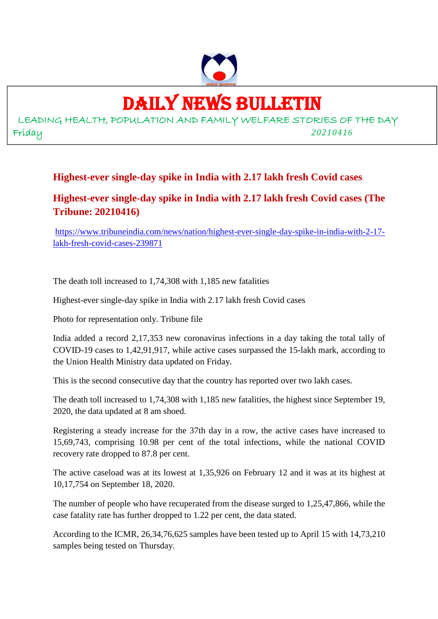

### DAILY NEWS BULLETIN

LEADING HEALTH, POPULATION AND FAMILY WELFARE STORIES OF THE DAY Friday *20210416*

#### **Highest-ever single-day spike in India with 2.17 lakh fresh Covid cases**

#### **Highest-ever single-day spike in India with 2.17 lakh fresh Covid cases (The Tribune: 20210416)**

https://www.tribuneindia.com/news/nation/highest-ever-single-day-spike-in-india-with-2-17 lakh-fresh-covid-cases-239871

The death toll increased to 1,74,308 with 1,185 new fatalities

Highest-ever single-day spike in India with 2.17 lakh fresh Covid cases

Photo for representation only. Tribune file

India added a record 2,17,353 new coronavirus infections in a day taking the total tally of COVID-19 cases to 1,42,91,917, while active cases surpassed the 15-lakh mark, according to the Union Health Ministry data updated on Friday.

This is the second consecutive day that the country has reported over two lakh cases.

The death toll increased to 1,74,308 with 1,185 new fatalities, the highest since September 19, 2020, the data updated at 8 am shoed.

Registering a steady increase for the 37th day in a row, the active cases have increased to 15,69,743, comprising 10.98 per cent of the total infections, while the national COVID recovery rate dropped to 87.8 per cent.

The active caseload was at its lowest at 1,35,926 on February 12 and it was at its highest at 10,17,754 on September 18, 2020.

The number of people who have recuperated from the disease surged to 1,25,47,866, while the case fatality rate has further dropped to 1.22 per cent, the data stated.

According to the ICMR, 26,34,76,625 samples have been tested up to April 15 with 14,73,210 samples being tested on Thursday.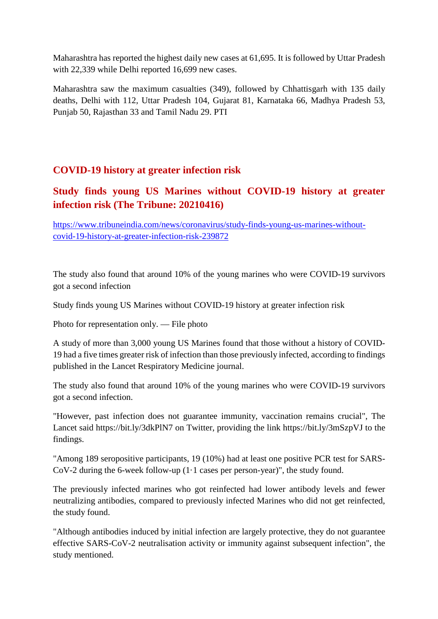Maharashtra has reported the highest daily new cases at 61,695. It is followed by Uttar Pradesh with 22,339 while Delhi reported 16,699 new cases.

Maharashtra saw the maximum casualties (349), followed by Chhattisgarh with 135 daily deaths, Delhi with 112, Uttar Pradesh 104, Gujarat 81, Karnataka 66, Madhya Pradesh 53, Punjab 50, Rajasthan 33 and Tamil Nadu 29. PTI

#### **COVID-19 history at greater infection risk**

#### **Study finds young US Marines without COVID-19 history at greater infection risk (The Tribune: 20210416)**

https://www.tribuneindia.com/news/coronavirus/study-finds-young-us-marines-withoutcovid-19-history-at-greater-infection-risk-239872

The study also found that around 10% of the young marines who were COVID-19 survivors got a second infection

Study finds young US Marines without COVID-19 history at greater infection risk

Photo for representation only. — File photo

A study of more than 3,000 young US Marines found that those without a history of COVID-19 had a five times greater risk of infection than those previously infected, according to findings published in the Lancet Respiratory Medicine journal.

The study also found that around 10% of the young marines who were COVID-19 survivors got a second infection.

"However, past infection does not guarantee immunity, vaccination remains crucial", The Lancet said https://bit.ly/3dkPlN7 on Twitter, providing the link https://bit.ly/3mSzpVJ to the findings.

"Among 189 seropositive participants, 19 (10%) had at least one positive PCR test for SARS-CoV-2 during the 6-week follow-up (1·1 cases per person-year)", the study found.

The previously infected marines who got reinfected had lower antibody levels and fewer neutralizing antibodies, compared to previously infected Marines who did not get reinfected, the study found.

"Although antibodies induced by initial infection are largely protective, they do not guarantee effective SARS-CoV-2 neutralisation activity or immunity against subsequent infection", the study mentioned.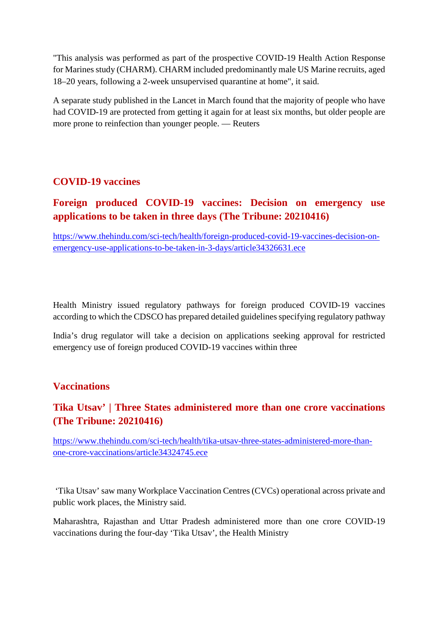"This analysis was performed as part of the prospective COVID-19 Health Action Response for Marines study (CHARM). CHARM included predominantly male US Marine recruits, aged 18–20 years, following a 2-week unsupervised quarantine at home", it said.

A separate study published in the Lancet in March found that the majority of people who have had COVID-19 are protected from getting it again for at least six months, but older people are more prone to reinfection than younger people. — Reuters

#### **COVID-19 vaccines**

#### **Foreign produced COVID-19 vaccines: Decision on emergency use applications to be taken in three days (The Tribune: 20210416)**

https://www.thehindu.com/sci-tech/health/foreign-produced-covid-19-vaccines-decision-onemergency-use-applications-to-be-taken-in-3-days/article34326631.ece

Health Ministry issued regulatory pathways for foreign produced COVID-19 vaccines according to which the CDSCO has prepared detailed guidelines specifying regulatory pathway

India's drug regulator will take a decision on applications seeking approval for restricted emergency use of foreign produced COVID-19 vaccines within three

#### **Vaccinations**

#### **Tika Utsav' | Three States administered more than one crore vaccinations (The Tribune: 20210416)**

https://www.thehindu.com/sci-tech/health/tika-utsav-three-states-administered-more-thanone-crore-vaccinations/article34324745.ece

'Tika Utsav' saw many Workplace Vaccination Centres (CVCs) operational across private and public work places, the Ministry said.

Maharashtra, Rajasthan and Uttar Pradesh administered more than one crore COVID-19 vaccinations during the four-day 'Tika Utsav', the Health Ministry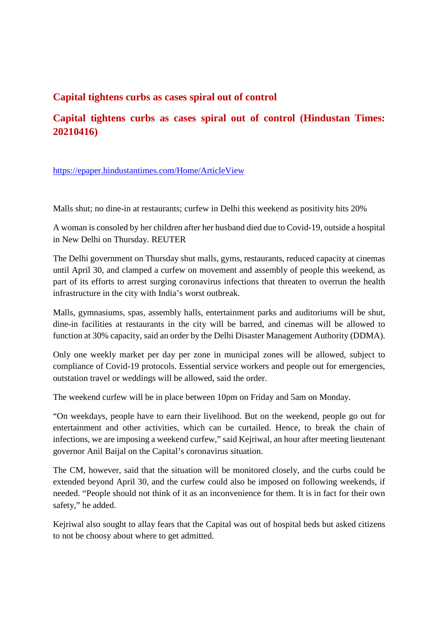#### **Capital tightens curbs as cases spiral out of control**

#### **Capital tightens curbs as cases spiral out of control (Hindustan Times: 20210416)**

https://epaper.hindustantimes.com/Home/ArticleView

Malls shut; no dine-in at restaurants; curfew in Delhi this weekend as positivity hits 20%

A woman is consoled by her children after her husband died due to Covid-19, outside a hospital in New Delhi on Thursday. REUTER

The Delhi government on Thursday shut malls, gyms, restaurants, reduced capacity at cinemas until April 30, and clamped a curfew on movement and assembly of people this weekend, as part of its efforts to arrest surging coronavirus infections that threaten to overrun the health infrastructure in the city with India's worst outbreak.

Malls, gymnasiums, spas, assembly halls, entertainment parks and auditoriums will be shut, dine-in facilities at restaurants in the city will be barred, and cinemas will be allowed to function at 30% capacity, said an order by the Delhi Disaster Management Authority (DDMA).

Only one weekly market per day per zone in municipal zones will be allowed, subject to compliance of Covid-19 protocols. Essential service workers and people out for emergencies, outstation travel or weddings will be allowed, said the order.

The weekend curfew will be in place between 10pm on Friday and 5am on Monday.

"On weekdays, people have to earn their livelihood. But on the weekend, people go out for entertainment and other activities, which can be curtailed. Hence, to break the chain of infections, we are imposing a weekend curfew," said Kejriwal, an hour after meeting lieutenant governor Anil Baijal on the Capital's coronavirus situation.

The CM, however, said that the situation will be monitored closely, and the curbs could be extended beyond April 30, and the curfew could also be imposed on following weekends, if needed. "People should not think of it as an inconvenience for them. It is in fact for their own safety," he added.

Kejriwal also sought to allay fears that the Capital was out of hospital beds but asked citizens to not be choosy about where to get admitted.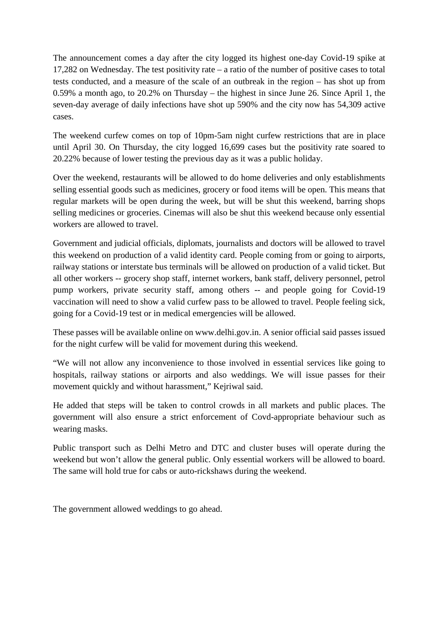The announcement comes a day after the city logged its highest one-day Covid-19 spike at 17,282 on Wednesday. The test positivity rate – a ratio of the number of positive cases to total tests conducted, and a measure of the scale of an outbreak in the region – has shot up from 0.59% a month ago, to 20.2% on Thursday – the highest in since June 26. Since April 1, the seven-day average of daily infections have shot up 590% and the city now has 54,309 active cases.

The weekend curfew comes on top of 10pm-5am night curfew restrictions that are in place until April 30. On Thursday, the city logged 16,699 cases but the positivity rate soared to 20.22% because of lower testing the previous day as it was a public holiday.

Over the weekend, restaurants will be allowed to do home deliveries and only establishments selling essential goods such as medicines, grocery or food items will be open. This means that regular markets will be open during the week, but will be shut this weekend, barring shops selling medicines or groceries. Cinemas will also be shut this weekend because only essential workers are allowed to travel.

Government and judicial officials, diplomats, journalists and doctors will be allowed to travel this weekend on production of a valid identity card. People coming from or going to airports, railway stations or interstate bus terminals will be allowed on production of a valid ticket. But all other workers -- grocery shop staff, internet workers, bank staff, delivery personnel, petrol pump workers, private security staff, among others -- and people going for Covid-19 vaccination will need to show a valid curfew pass to be allowed to travel. People feeling sick, going for a Covid-19 test or in medical emergencies will be allowed.

These passes will be available online on www.delhi.gov.in. A senior official said passes issued for the night curfew will be valid for movement during this weekend.

"We will not allow any inconvenience to those involved in essential services like going to hospitals, railway stations or airports and also weddings. We will issue passes for their movement quickly and without harassment," Kejriwal said.

He added that steps will be taken to control crowds in all markets and public places. The government will also ensure a strict enforcement of Covd-appropriate behaviour such as wearing masks.

Public transport such as Delhi Metro and DTC and cluster buses will operate during the weekend but won't allow the general public. Only essential workers will be allowed to board. The same will hold true for cabs or auto-rickshaws during the weekend.

The government allowed weddings to go ahead.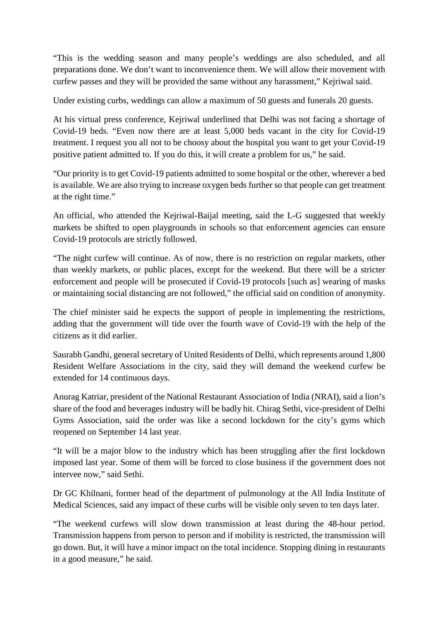"This is the wedding season and many people's weddings are also scheduled, and all preparations done. We don't want to inconvenience them. We will allow their movement with curfew passes and they will be provided the same without any harassment," Kejriwal said.

Under existing curbs, weddings can allow a maximum of 50 guests and funerals 20 guests.

At his virtual press conference, Kejriwal underlined that Delhi was not facing a shortage of Covid-19 beds. "Even now there are at least 5,000 beds vacant in the city for Covid-19 treatment. I request you all not to be choosy about the hospital you want to get your Covid-19 positive patient admitted to. If you do this, it will create a problem for us," he said.

"Our priority is to get Covid-19 patients admitted to some hospital or the other, wherever a bed is available. We are also trying to increase oxygen beds further so that people can get treatment at the right time."

An official, who attended the Kejriwal-Baijal meeting, said the L-G suggested that weekly markets be shifted to open playgrounds in schools so that enforcement agencies can ensure Covid-19 protocols are strictly followed.

"The night curfew will continue. As of now, there is no restriction on regular markets, other than weekly markets, or public places, except for the weekend. But there will be a stricter enforcement and people will be prosecuted if Covid-19 protocols [such as] wearing of masks or maintaining social distancing are not followed," the official said on condition of anonymity.

The chief minister said he expects the support of people in implementing the restrictions, adding that the government will tide over the fourth wave of Covid-19 with the help of the citizens as it did earlier.

Saurabh Gandhi, general secretary of United Residents of Delhi, which represents around 1,800 Resident Welfare Associations in the city, said they will demand the weekend curfew be extended for 14 continuous days.

Anurag Katriar, president of the National Restaurant Association of India (NRAI), said a lion's share of the food and beverages industry will be badly hit. Chirag Sethi, vice-president of Delhi Gyms Association, said the order was like a second lockdown for the city's gyms which reopened on September 14 last year.

"It will be a major blow to the industry which has been struggling after the first lockdown imposed last year. Some of them will be forced to close business if the government does not intervee now," said Sethi.

Dr GC Khilnani, former head of the department of pulmonology at the All India Institute of Medical Sciences, said any impact of these curbs will be visible only seven to ten days later.

"The weekend curfews will slow down transmission at least during the 48-hour period. Transmission happens from person to person and if mobility is restricted, the transmission will go down. But, it will have a minor impact on the total incidence. Stopping dining in restaurants in a good measure," he said.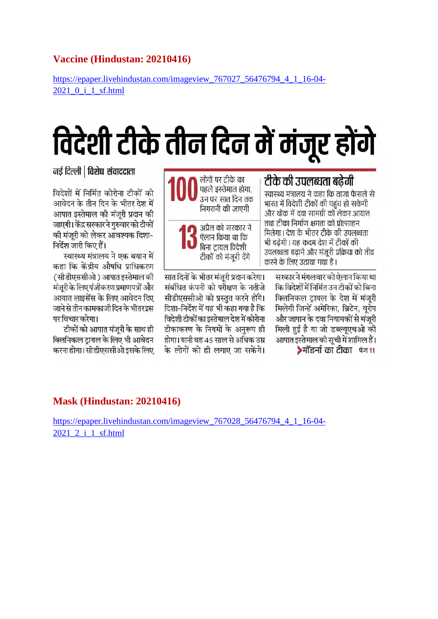#### **Vaccine (Hindustan: 20210416)**

https://epaper.livehindustan.com/imageview\_767027\_56476794\_4\_1\_16-04- 2021\_0\_i\_1\_sf.html

# विदेशी टीके तीन दिन में मंजूर होंगे

नई दिल्ली | विशेष संवाददाता

विदेशों में निर्मित कोरोना टीकों को आवेदन के तीन दिन के भीतर देश में आपात इस्तेमाल की मंजरी प्रदान की जाएगी। केंद्र सरकार ने गुरुवार को टीकों की मंजरी को लेकर आवश्यक दिशा-निर्देश जारी किए हैं।

स्वास्थ्य मंत्रालय ने एक बयान में कहा कि केंद्रीय औषधि प्राधिकरण (सीडीएससीओ) आपात इस्तेमाल की मंजरी के लिए पंजीकरण प्रमाणपत्रों और आयात लाइसेंस के लिए आवेदन दिए जाने से तीन कामकाजी दिन के भीतरडस पर विचार करेगा।

टीकों को आपात मंजुरी के साथ ही क्लिनिकल ट्रायल के लिए भी आवेदन करना होगा। सीडीएससीओ इसके लिए



सीडीएससीओ को प्रस्तुत करने होंगे। दिशा-निर्देश में यह भी कहा गया है कि विदेशी टीकों का इस्तेमाल देश में कोरोना टीकाकरण के नियमों के अनुरूप ही होगा। यानी वह 45 साल से अधिक उम्र के लोगों को ही लगाए जा सकेंगे।

भारत में विदेशी टीकों की पहुंच हो सकेगी और थोक में दवा सामग्री को लेकर आयात तथा टीका निर्माण क्षमता को पोत्साहन मिलेगा। देश के भीतर टीके की उपलब्धता भी बढेगी | यह कदम देश में टीकों की उपलब्धता बढाने और मंजूरी प्रक्रिया को तीव्र करने के लिए उठाया गया है। सरकार ने मंगलवार को ऐलान किया था

कि विदेशों में निर्मित उन टीकों को बिना क्लिनिकल ट्रायल के देश में मंजूरी मिलेगी जिन्हें अमेरिका, ब्रिटेन, यूरोप और जापान के दवा नियामकों से मंजरी मिली हुई है या जो डब्ल्यूएचओ की आपात इस्तेमाल की सूची में शामिल हैं। ▶मॉडर्ना का टीका पेज11

#### **Mask (Hindustan: 20210416)**

https://epaper.livehindustan.com/imageview\_767028\_56476794\_4\_1\_16-04- 2021 2 i 1 sf.html